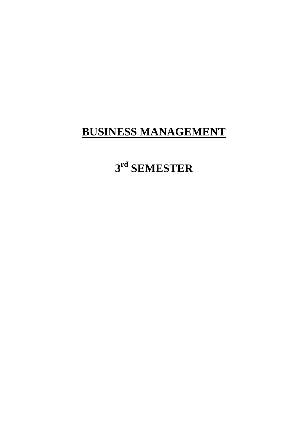# **3 rd SEMESTER**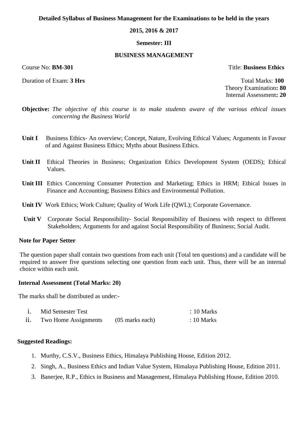### **2015, 2016 & 2017**

### **Semester: III**

#### **BUSINESS MANAGEMENT**

Duration of Exam: **3 Hrs Total Marks: 100** 

Course No: **BM-301** Title: **Business Ethics**

Theory Examination**: 80** Internal Assessment**: 20**

- **Objective:** *The objective of this course is to make students aware of the various ethical issues concerning the Business World*
- **Unit I** Business Ethics- An overview; Concept, Nature, Evolving Ethical Values; Arguments in Favour of and Against Business Ethics; Myths about Business Ethics.
- **Unit II** Ethical Theories in Business; Organization Ethics Development System (OEDS); Ethical Values.
- **Unit III** Ethics Concerning Consumer Protection and Marketing; Ethics in HRM; Ethical Issues in Finance and Accounting; Business Ethics and Environmental Pollution.
- **Unit IV** Work Ethics; Work Culture; Quality of Work Life (QWL); Corporate Governance.
- **Unit V** Corporate Social Responsibility- Social Responsibility of Business with respect to different Stakeholders; Arguments for and against Social Responsibility of Business; Social Audit.

### **Note for Paper Setter**

The question paper shall contain two questions from each unit (Total ten questions) and a candidate will be required to answer five questions selecting one question from each unit. Thus, there will be an internal choice within each unit.

#### **Internal Assessment (Total Marks: 20)**

The marks shall be distributed as under:-

| Mid Semester Test    |                   | $: 10$ Marks |
|----------------------|-------------------|--------------|
| Two Home Assignments | $(05$ marks each) | $: 10$ Marks |

- 1. Murthy, C.S.V., Business Ethics, Himalaya Publishing House, Edition 2012.
- 2. Singh, A., Business Ethics and Indian Value System, Himalaya Publishing House, Edition 2011.
- 3. Banerjee, R.P., Ethics in Business and Management, Himalaya Publishing House, Edition 2010.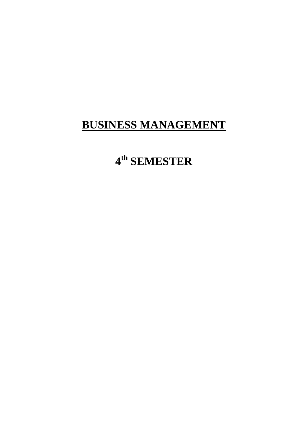# 4<sup>th</sup> SEMESTER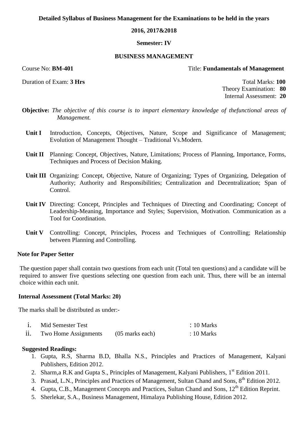# **2016, 2017&2018**

#### **Semester: IV**

#### **BUSINESS MANAGEMENT**

#### Course No: **BM-401** Title: **Fundamentals of Management**

Duration of Exam: **3 Hrs** Total Marks: **100** Theory Examination: **80** Internal Assessment: **20**

- **Objective:** *The objective of this course is to impart elementary knowledge of thefunctional areas of Management.*
	- Unit I Introduction, Concepts, Objectives, Nature, Scope and Significance of Management; Evolution of Management Thought – Traditional Vs.Modern.
	- **Unit II** Planning: Concept, Objectives, Nature, Limitations; Process of Planning, Importance, Forms, Techniques and Process of Decision Making.
	- **Unit III** Organizing: Concept, Objective, Nature of Organizing; Types of Organizing, Delegation of Authority; Authority and Responsibilities; Centralization and Decentralization; Span of Control.
	- **Unit IV** Directing: Concept, Principles and Techniques of Directing and Coordinating; Concept of Leadership-Meaning, Importance and Styles; Supervision, Motivation. Communication as a Tool for Coordination.
	- **Unit V** Controlling: Concept, Principles, Process and Techniques of Controlling; Relationship between Planning and Controlling.

# **Note for Paper Setter**

The question paper shall contain two questions from each unit (Total ten questions) and a candidate will be required to answer five questions selecting one question from each unit. Thus, there will be an internal choice within each unit.

#### **Internal Assessment (Total Marks: 20)**

The marks shall be distributed as under:-

| Mid Semester Test    |                   | $\therefore$ 10 Marks |
|----------------------|-------------------|-----------------------|
| Two Home Assignments | $(05$ marks each) | $\therefore$ 10 Marks |

- 1. Gupta, R.S, Sharma B.D, Bhalla N.S., Principles and Practices of Management, Kalyani Publishers, Edition 2012.
- 2. Sharm,a R.K and Gupta S., Principles of Management, Kalyani Publishers, 1<sup>st</sup> Edition 2011.
- 3. Prasad, L.N., Principles and Practices of Management, Sultan Chand and Sons, 8<sup>th</sup> Edition 2012.
- 4. Gupta, C.B., Management Concepts and Practices, Sultan Chand and Sons, 12<sup>th</sup> Edition Reprint.
- 5. Sherlekar, S.A., Business Management, Himalaya Publishing House, Edition 2012.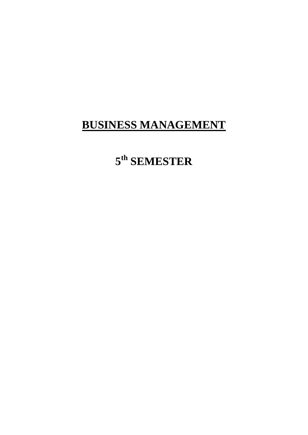# $5^{\text{th}}$  SEMESTER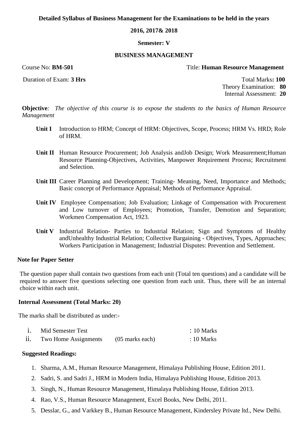### **2016, 2017& 2018**

#### **Semester: V**

#### **BUSINESS MANAGEMENT**

# Course No: **BM-501** Title: **Human Resource Management**

Duration of Exam: **3 Hrs Total Marks: 100** 

Theory Examination: **80** Internal Assessment: **20**

**Objective***: The objective of this course is to expose the students to the basics of Human Resource Management*

- **Unit I** Introduction to HRM; Concept of HRM: Objectives, Scope, Process; HRM Vs. HRD; Role of HRM.
- **Unit II** Human Resource Procurement; Job Analysis andJob Design; Work Measurement; Human Resource Planning-Objectives, Activities, Manpower Requirement Process; Recruitment and Selection.
- **Unit III** Career Planning and Development; Training- Meaning, Need, Importance and Methods; Basic concept of Performance Appraisal; Methods of Performance Appraisal.
- **Unit IV** Employee Compensation; Job Evaluation; Linkage of Compensation with Procurement and Low turnover of Employees; Promotion, Transfer, Demotion and Separation; Workmen Compensation Act, 1923.
- **Unit V** Industrial Relation- Parties to Industrial Relation; Sign and Symptoms of Healthy andUnhealthy Industrial Relation; Collective Bargaining - Objectives, Types, Approaches; Workers Participation in Management; Industrial Disputes: Prevention and Settlement.

#### **Note for Paper Setter**

The question paper shall contain two questions from each unit (Total ten questions) and a candidate will be required to answer five questions selecting one question from each unit. Thus, there will be an internal choice within each unit.

### **Internal Assessment (Total Marks: 20)**

The marks shall be distributed as under:-

| Mid Semester Test    |                   | $\therefore$ 10 Marks |
|----------------------|-------------------|-----------------------|
| Two Home Assignments | $(05$ marks each) | $: 10$ Marks          |

- 1. Sharma, A.M., Human Resource Management, Himalaya Publishing House, Edition 2011.
- 2. Sadri, S. and Sadri J., HRM in Modern India, Himalaya Publishing House, Edition 2013.
- 3. Singh, N., Human Resource Management, Himalaya Publishing House, Edition 2013.
- 4. Rao, V.S., Human Resource Management, Excel Books, New Delhi, 2011.
- 5. Desslar, G., and Varkkey B., Human Resource Management, Kindersley Private ltd., New Delhi.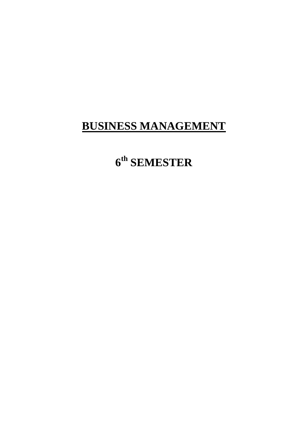# 6<sup>th</sup> SEMESTER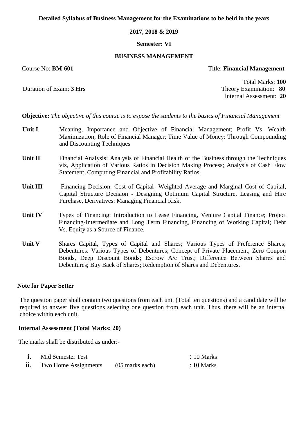#### **2017, 2018 & 2019**

#### **Semester: VI**

#### **BUSINESS MANAGEMENT**

### Course No: **BM-601** Title: **Financial Management**

Total Marks: **100** Duration of Exam: **3 Hrs** Theory Examination: **80** Internal Assessment: **20**

**Objective:** *The objective of this course is to expose the students to the basics of Financial Management*

- **Unit I** Meaning, Importance and Objective of Financial Management; Profit Vs. Wealth Maximization; Role of Financial Manager; Time Value of Money: Through Compounding and Discounting Techniques
- **Unit II** Financial Analysis: Analysis of Financial Health of the Business through the Techniques viz, Application of Various Ratios in Decision Making Process; Analysis of Cash Flow Statement, Computing Financial and Profitability Ratios.
- Unit III Financing Decision: Cost of Capital-Weighted Average and Marginal Cost of Capital, Capital Structure Decision - Designing Optimum Capital Structure, Leasing and Hire Purchase, Derivatives: Managing Financial Risk.
- Unit IV Types of Financing: Introduction to Lease Financing, Venture Capital Finance; Project Financing-Intermediate and Long Term Financing, Financing of Working Capital; Debt Vs. Equity as a Source of Finance.
- Unit V Shares Capital, Types of Capital and Shares; Various Types of Preference Shares; Debentures: Various Types of Debentures; Concept of Private Placement, Zero Coupon Bonds, Deep Discount Bonds; Escrow A/c Trust; Difference Between Shares and Debentures; Buy Back of Shares; Redemption of Shares and Debentures.

# **Note for Paper Setter**

The question paper shall contain two questions from each unit (Total ten questions) and a candidate will be required to answer five questions selecting one question from each unit. Thus, there will be an internal choice within each unit.

# **Internal Assessment (Total Marks: 20)**

The marks shall be distributed as under:-

| Mid Semester Test    |                   | $: 10$ Marks |
|----------------------|-------------------|--------------|
| Two Home Assignments | $(05$ marks each) | $: 10$ Marks |